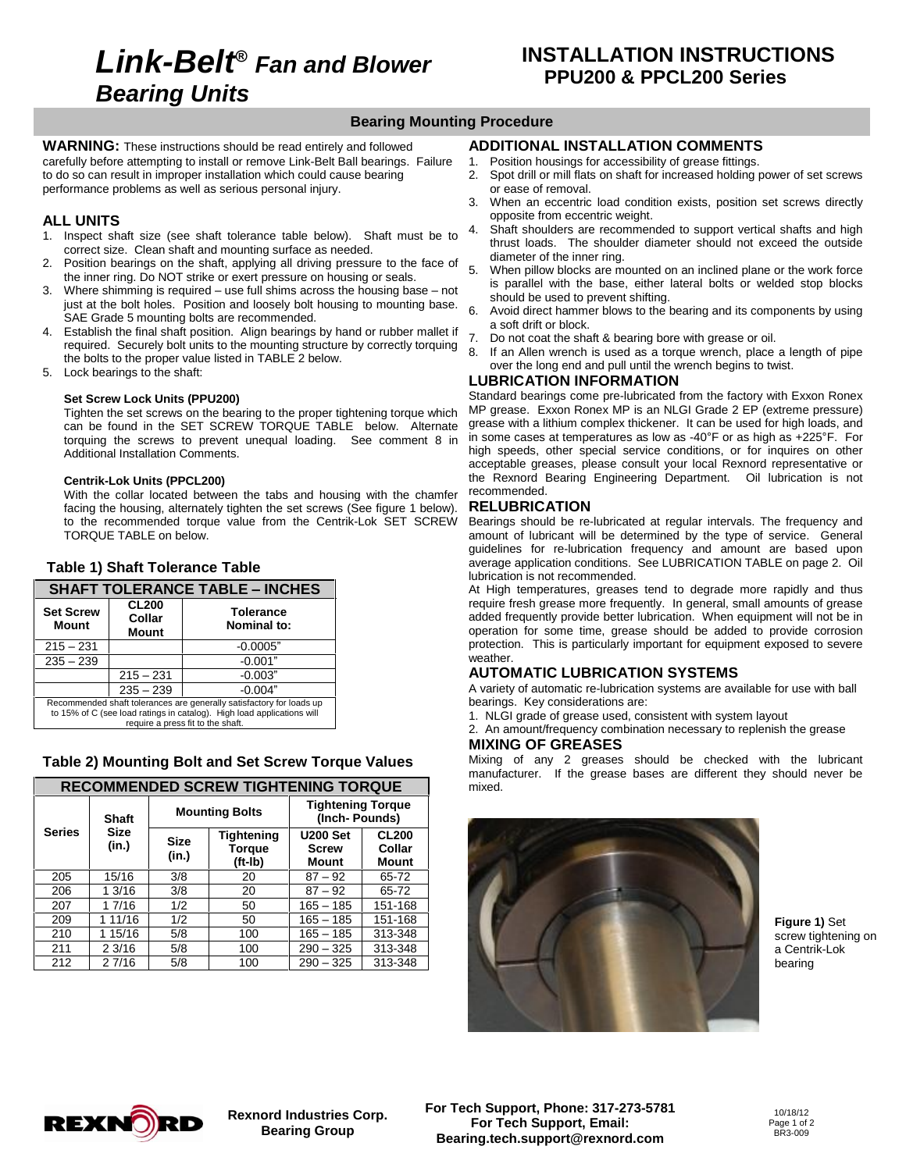# **Link-Belt***<sup>Æ</sup>* **Fan and Blower Bearing Units**

## **Bearing Mounting Procedure**

**WARNING:** These instructions should be read entirely and followed carefully before attempting to install or remove Link-Belt Ball bearings. Failure to do so can result in improper installation which could cause bearing performance problems as well as serious personal injury.

#### **ALL UNITS**

- 1. Inspect shaft size (see shaft tolerance table below). Shaft must be to correct size. Clean shaft and mounting surface as needed.
- 2. Position bearings on the shaft, applying all driving pressure to the face of  $5$ the inner ring. Do NOT strike or exert pressure on housing or seals.
- 3. Where shimming is required  $-$  use full shims across the housing base  $-$  not just at the bolt holes. Position and loosely bolt housing to mounting base.  $6\overline{6}$ SAE Grade 5 mounting bolts are recommended.
- 4. Establish the final shaft position. Align bearings by hand or rubber mallet if  $\overline{z}$ required. Securely bolt units to the mounting structure by correctly torquing  $\frac{1}{8}$ . the bolts to the proper value listed in TABLE 2 below.
- 5. Lock bearings to the shaft:

#### **Set Screw Lock Units (PPU200)**

Tighten the set screws on the bearing to the proper tightening torque which can be found in the SET SCREW TORQUE TABLE below. Alternate grease with a lithium complex thickener. It can be used for high loads, and<br>torguing the screws to prevent unequal loading. See comment 8 in in some cases at temp torquing the screws to prevent unequal loading. See comment 8 in Additional Installation Comments.

#### **Centrik-Lok Units (PPCL200)**

With the collar located between the tabs and housing with the chamfer facing the housing, alternately tighten the set screws (See figure 1 below). to the recommended torque value from the Centrik-Lok SET SCREW TORQUE TABLE on below.

#### **Table 1) Shaft Tolerance Table**

| Table 1) Shaft Tolerance Table                                                                                                                                                      |                                 |                                        |  |  |
|-------------------------------------------------------------------------------------------------------------------------------------------------------------------------------------|---------------------------------|----------------------------------------|--|--|
| <b>SHAFT TOLERANCE TABLE - INCHES</b>                                                                                                                                               |                                 |                                        |  |  |
| <b>Set Screw</b><br>Mount                                                                                                                                                           | <b>CL200</b><br>Collar<br>Mount | <b>Tolerance</b><br><b>Nominal to:</b> |  |  |
| $215 - 231$                                                                                                                                                                         |                                 | $-0.0005"$                             |  |  |
| $235 - 239$                                                                                                                                                                         |                                 | $-0.001"$                              |  |  |
|                                                                                                                                                                                     | $215 - 231$                     | $-0.003"$                              |  |  |
|                                                                                                                                                                                     | $235 - 239$                     | $-0.004"$                              |  |  |
| Recommended shaft tolerances are generally satisfactory for loads up<br>to 15% of C (see load ratings in catalog). High load applications will<br>require a press fit to the shaft. |                                 |                                        |  |  |

#### **Table 2) Mounting Bolt and Set Screw Torque Values**

| <b>RECOMMENDED SCREW TIGHTENING TORQUE</b> |                      |                       |                                 |                                           |                                 |
|--------------------------------------------|----------------------|-----------------------|---------------------------------|-------------------------------------------|---------------------------------|
|                                            | <b>Shaft</b>         | <b>Mounting Bolts</b> |                                 | <b>Tightening Torque</b><br>(Inch-Pounds) |                                 |
| <b>Series</b>                              | <b>Size</b><br>(in.) |                       | Tightening<br>Torque<br>(ft-Ib) | <b>U200 Set</b><br><b>Screw</b><br>Mount  | <b>CL200</b><br>Collar<br>Mount |
| 205                                        | 15/16                | 3/8                   | 20                              | $87 - 92$                                 | 65-72                           |
| 206                                        | 1.3/16               | 3/8                   | 20                              | $87 - 92$                                 | 65-72                           |
| 207                                        | 1 7/16               | 1/2                   | 50                              | $165 - 185$                               | 151-168                         |
| 209                                        | 1 11/16              | 1/2                   | 50                              | $165 - 185$                               | 151-168                         |
| 210                                        | 1 15/16              | 5/8                   | 100                             | $165 - 185$                               | 313-348                         |
| 211                                        | 23/16                | 5/8                   | 100                             | $290 - 325$                               | 313-348                         |
| 212                                        | 27/16                | 5/8                   | 100                             | $290 - 325$                               | 313-348                         |

## **ADDITIONAL INSTALLATION COMMENTS**

- 1. Position housings for accessibility of grease fittings.
- 2. Spot drill or mill flats on shaft for increased holding power of set screws or ease of removal.
- 3. When an eccentric load condition exists, position set screws directly opposite from eccentric weight.
- Shaft shoulders are recommended to support vertical shafts and high thrust loads. The shoulder diameter should not exceed the outside diameter of the inner ring.
- When pillow blocks are mounted on an inclined plane or the work force is parallel with the base, either lateral bolts or welded stop blocks should be used to prevent shifting.
- Avoid direct hammer blows to the bearing and its components by using a soft drift or block.
- Do not coat the shaft & bearing bore with grease or oil.
- If an Allen wrench is used as a torque wrench, place a length of pipe over the long end and pull until the wrench begins to twist.

#### **LUBRICATION INFORMATION**

Standard bearings come pre-lubricated from the factory with Exxon Ronex MP grease. Exxon Ronex MP is an NLGI Grade 2 EP (extreme pressure) grease with a lithium complex thickener. It can be used for high loads, and In some cases. Exxon Ronex MP is an NLGI Grade 2 EP (extreme pressure)<br>grease with a lithium complex thickener. It can be used for high loads, and<br>in some cases at temperatures as low as -40°F or as high as +225°F. For high speeds, other special service conditions, or for inquires on other acceptable greases, please consult your local Rexnord representative or the Rexnord Bearing Engineering Department. Oil lubrication is not recommended.

#### **RELUBRICATION**

Bearings should be re-lubricated at regular intervals. The frequency and amount of lubricant will be determined by the type of service. General guidelines for re-lubrication frequency and amount are based upon average application conditions. See LUBRICATION TABLE on page 2. Oil lubrication is not recommended.

At High temperatures, greases tend to degrade more rapidly and thus require fresh grease more frequently. In general, small amounts of grease added frequently provide better lubrication. When equipment will not be in operation for some time, grease should be added to provide corrosion protection. This is particularly important for equipment exposed to severe weather.

### **AUTOMATIC LUBRICATION SYSTEMS**

A variety of automatic re-lubrication systems are available for use with ball bearings. Key considerations are:

1. NLGI grade of grease used, consistent with system layout

2. An amount/frequency combination necessary to replenish the grease **MIXING OF GREASES**

Mixing of any 2 greases should be checked with the lubricant manufacturer. If the grease bases are different they should never be mixed.



**Figure 1)** Set screw tightening on a Centrik-Lok bearing



**Rexnord Industries Corp. Bearing Group**

**For Tech Support, Phone: 317-273-5781 For Tech Support, Email: [Bearing.tech.support@rexnord.com](mailto:Bearing.tech.support@rexnord.com)**